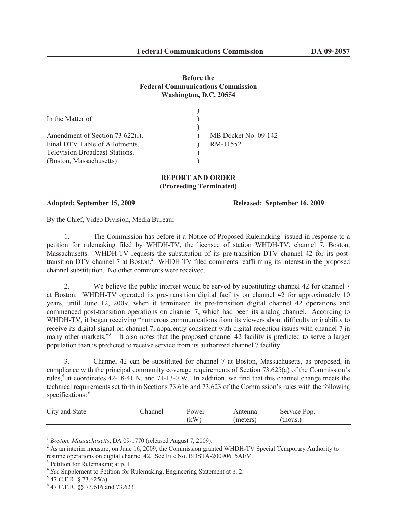## **Before the Federal Communications Commission Washington, D.C. 20554**

| In the Matter of                                                  |                                  |
|-------------------------------------------------------------------|----------------------------------|
| Amendment of Section 73.622(i),<br>Final DTV Table of Allotments, | MB Docket No. 09-142<br>RM-11552 |
| <b>Television Broadcast Stations.</b><br>(Boston, Massachusetts)  |                                  |

## **REPORT AND ORDER (Proceeding Terminated)**

## **Adopted: September 15, 2009 Released: September 16, 2009**

By the Chief, Video Division, Media Bureau:

1. The Commission has before it a Notice of Proposed Rulemaking<sup>1</sup> issued in response to a petition for rulemaking filed by WHDH-TV, the licensee of station WHDH-TV, channel 7, Boston, Massachusetts. WHDH-TV requests the substitution of its pre-transition DTV channel 42 for its posttransition DTV channel 7 at Boston.<sup>2</sup> WHDH-TV filed comments reaffirming its interest in the proposed channel substitution. No other comments were received.

2. We believe the public interest would be served by substituting channel 42 for channel 7 at Boston. WHDH-TV operated its pre-transition digital facility on channel 42 for approximately 10 years, until June 12, 2009, when it terminated its pre-transition digital channel 42 operations and commenced post-transition operations on channel 7, which had been its analog channel. According to WHDH-TV, it began receiving "numerous communications from its viewers about difficulty or inability to receive its digital signal on channel 7, apparently consistent with digital reception issues with channel 7 in many other markets."<sup>3</sup> It also notes that the proposed channel 42 facility is predicted to serve a larger population than is predicted to receive service from its authorized channel 7 facility.<sup>4</sup>

3. Channel 42 can be substituted for channel 7 at Boston, Massachusetts, as proposed, in compliance with the principal community coverage requirements of Section 73.625(a) of the Commission's rules,<sup>5</sup> at coordinates  $42$ -18-41 N. and  $71$ -13-0 W. In addition, we find that this channel change meets the technical requirements set forth in Sections 73.616 and 73.623 of the Commission's rules with the following specifications: <sup>6</sup>

| City and State | hannel | Power | Antenna  | Service Pop. |
|----------------|--------|-------|----------|--------------|
|                |        | (kW   | (meters) | (thous.)     |

<sup>1</sup> *Boston, Massachusetts*, DA 09-1770 (released August 7, 2009).

 $5$  47 C.F.R. § 73.625(a).

<sup>&</sup>lt;sup>2</sup> As an interim measure, on June 16, 2009, the Commission granted WHDH-TV Special Temporary Authority to resume operations on digital channel 42. See File No. BDSTA-20090615AEV.

<sup>&</sup>lt;sup>3</sup> Petition for Rulemaking at p. 1.

<sup>4</sup> *See* Supplement to Petition for Rulemaking, Engineering Statement at p. 2.

<sup>6</sup> 47 C.F.R. §§ 73.616 and 73.623.